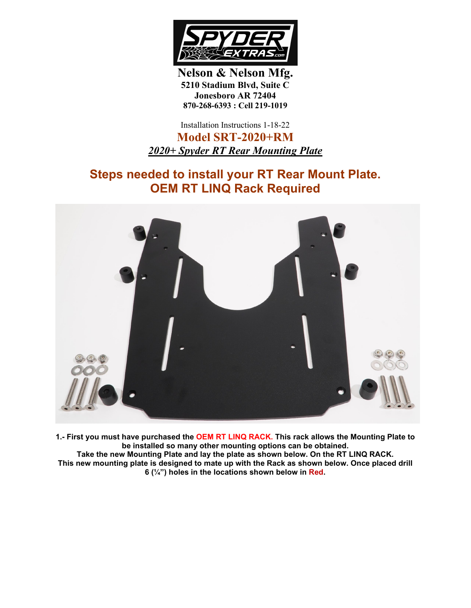

**Nelson & Nelson Mfg. 5210 Stadium Blvd, Suite C Jonesboro AR 72404 870-268-6393 : Cell 219-1019**

Installation Instructions 1-18-22

**Model SRT-2020+RM** *2020+ Spyder RT Rear Mounting Plate*

## **Steps needed to install your RT Rear Mount Plate. OEM RT LINQ Rack Required**



**1.- First you must have purchased the OEM RT LINQ RACK. This rack allows the Mounting Plate to be installed so many other mounting options can be obtained. Take the new Mounting Plate and lay the plate as shown below. On the RT LINQ RACK. This new mounting plate is designed to mate up with the Rack as shown below. Once placed drill 6 (¼") holes in the locations shown below in Red.**